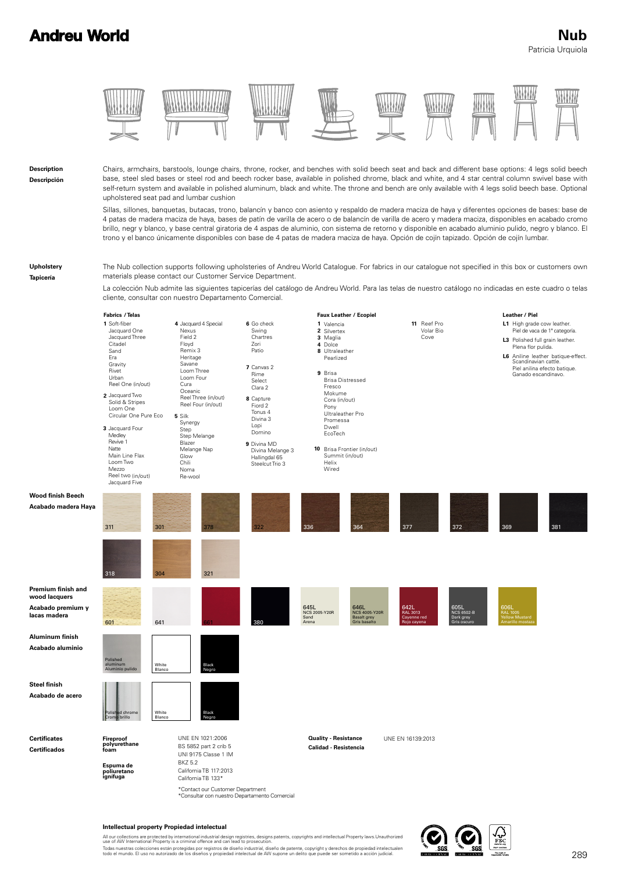## **Andreu World**

### Patricia Urquiola  **Nub**

WW

\\\\\\\\\



Chairs, armchairs, barstools, lounge chairs, throne, rocker, and benches with solid beech seat and back and different base options: 4 legs solid beech base, steel sled bases or steel rod and beech rocker base, available in polished chrome, black and white, and 4 star central column swivel base with self-return system and available in polished aluminum, black and white. The throne and bench are only available with 4 legs solid beech base. Optional upholstered seat pad and lumbar cushion

 $\mathcal{W}$ 

NHH*HA* 

Sillas, sillones, banquetas, butacas, trono, balancín y banco con asiento y respaldo de madera maciza de haya y diferentes opciones de bases: base de 4 patas de madera maciza de haya, bases de patín de varilla de acero o de balancín de varilla de acero y madera maciza, disponibles en acabado cromo brillo, negr y blanco, y base central giratoria de 4 aspas de aluminio, con sistema de retorno y disponible en acabado aluminio pulido, negro y blanco. El trono y el banco únicamente disponibles con base de 4 patas de madera maciza de haya. Opción de cojín tapizado. Opción de cojín lumbar.

**Upholstery Tapicería**

**Description Descripción**

> The Nub collection supports following upholsteries of Andreu World Catalogue. For fabrics in our catalogue not specified in this box or customers own materials please contact our Customer Service Department.

> La colección Nub admite las siguientes tapicerías del catálogo de Andreu World. Para las telas de nuestro catálogo no indicadas en este cuadro o telas cliente, consultar con nuestro Departamento Comercial.



#### **Intellectual property Propiedad intelectual**

All our collections are protected by international industrial design registries, designs patents, copyrights and intellectual Property laws.Unauthorized<br>use of AW International Property is a criminal offence and can lead t

Todas nuestras colecciones están protegidas por registros de diseño industrial, diseño de patente, copyright y derechos de propiedad intelectualen<br>todo el mundo. El uso no autorizado de los diseños y propiedad intelectual

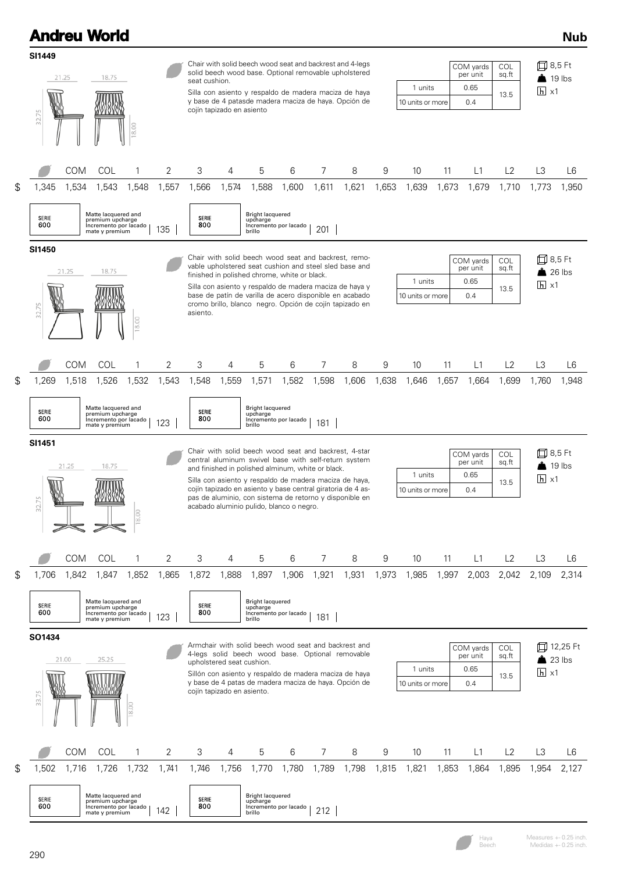|                                                                                                                                                                                                                   |                     | <b>Andreu World</b>                                                                |            |            |                                                         |            |                                                                                               |                       |            |                                                                                                                                                                                                                                                                                                   |                             |                             |             |                                      |                             |                                | <b>Nub</b>                |
|-------------------------------------------------------------------------------------------------------------------------------------------------------------------------------------------------------------------|---------------------|------------------------------------------------------------------------------------|------------|------------|---------------------------------------------------------|------------|-----------------------------------------------------------------------------------------------|-----------------------|------------|---------------------------------------------------------------------------------------------------------------------------------------------------------------------------------------------------------------------------------------------------------------------------------------------------|-----------------------------|-----------------------------|-------------|--------------------------------------|-----------------------------|--------------------------------|---------------------------|
| <b>SI1449</b>                                                                                                                                                                                                     | 21.25               | 18.75                                                                              |            |            |                                                         |            |                                                                                               |                       |            | Chair with solid beech wood seat and backrest and 4-legs<br>solid beech wood base. Optional removable upholstered                                                                                                                                                                                 |                             |                             |             | COM yards<br>per unit                | COL<br>sq.ft                | 口 8,5 Ft<br>$\triangle$ 19 lbs |                           |
| 32.75                                                                                                                                                                                                             |                     |                                                                                    | 8.00       |            | seat cushion.<br>cojín tapizado en asiento              |            |                                                                                               |                       |            | Silla con asiento y respaldo de madera maciza de haya<br>y base de 4 patasde madera maciza de haya. Opción de                                                                                                                                                                                     | 1 units<br>10 units or more |                             |             | 0.65<br>13.5<br>0.4                  |                             | $h \times 1$                   |                           |
| \$<br>1,345                                                                                                                                                                                                       | <b>COM</b><br>1,534 | COL<br>1,543                                                                       | 1<br>1,548 | 2<br>1,557 | 3<br>1,566                                              | 4<br>1,574 | 5<br>1,588                                                                                    | 6<br>1,600            | 7<br>1,611 | 8<br>1,621                                                                                                                                                                                                                                                                                        | 9<br>1,653                  | 10<br>1,639                 | 11<br>1,673 | L1<br>1,679                          | L2<br>1,710                 | L3<br>1,773                    | L6<br>1,950               |
| Matte lacquered and<br><b>Bright lacquered</b><br><b>SERIE</b><br>SERIE<br>premium upcharge<br>upcharge<br>600<br>800<br>Incremento por lacado<br>Incremento por lacado<br>201<br>135<br>mate y premium<br>brillo |                     |                                                                                    |            |            |                                                         |            |                                                                                               |                       |            |                                                                                                                                                                                                                                                                                                   |                             |                             |             |                                      |                             |                                |                           |
| SI1450<br>32.75                                                                                                                                                                                                   | 21.25               | 18.75                                                                              | 18.00      |            | asiento.                                                |            | finished in polished chrome, white or black.                                                  |                       |            | Chair with solid beech wood seat and backrest, remo-<br>vable upholstered seat cushion and steel sled base and<br>Silla con asiento y respaldo de madera maciza de haya y<br>base de patín de varilla de acero disponible en acabado<br>cromo brillo, blanco negro. Opción de cojín tapizado en   |                             | 1 units<br>10 units or more |             | COM yards<br>per unit<br>0.65<br>0.4 | <b>COL</b><br>sq.ft<br>13.5 | 口 8,5 Ft<br>$h \times 1$       | $\frac{1}{26}$ lbs        |
| \$<br>1,269<br>SERIE                                                                                                                                                                                              | COM<br>1,518        | COL<br>1,526<br>Matte lacquered and<br>premium upcharge                            | 1<br>1,532 | 2<br>1,543 | 3<br>1,548<br>SERIE                                     | 4<br>1,559 | 5<br>1,571<br><b>Bright lacquered</b><br>upcharge                                             | 6<br>1,582            | 7<br>1,598 | 8<br>1,606                                                                                                                                                                                                                                                                                        | 9<br>1,638                  | 10<br>1,646                 | 11<br>1,657 | L1<br>1,664                          | L2<br>1,699                 | L <sub>3</sub><br>1,760        | L6<br>1,948               |
| SI1451<br>32.75                                                                                                                                                                                                   | 21.25               | 18.75<br><u> MYTYYYN</u>                                                           | ≌          |            |                                                         |            | and finished in polished alminum, white or black.<br>acabado aluminio pulido, blanco o negro. |                       |            | Chair with solid beech wood seat and backrest, 4-star<br>central aluminum swivel base with self-return system<br>Silla con asiento y respaldo de madera maciza de haya,<br>cojín tapizado en asiento y base central giratoria de 4 as-<br>pas de aluminio, con sistema de retorno y disponible en |                             | 1 units<br>10 units or more |             | COM yards<br>per unit<br>0.65<br>0.4 | COL<br>sq.ft<br>13.5        | 凹<br>$h \times 1$              | 8,5 Ft<br>$\sqrt{19}$ lbs |
| \$<br>1,706                                                                                                                                                                                                       | COM<br>1,842        | COL<br>1,847                                                                       | 1<br>1,852 | 2<br>1,865 | 3<br>1,872                                              | 4<br>1,888 | 5<br>1,897                                                                                    | 6<br>1,906            | 7<br>1,921 | 8<br>1,931                                                                                                                                                                                                                                                                                        | 9<br>1,973                  | 10<br>1,985                 | 11<br>1,997 | L1<br>2,003                          | L2<br>2,042                 | L <sub>3</sub><br>2,109        | L6<br>2,314               |
| SERIE<br>600                                                                                                                                                                                                      |                     | Matte lacquered and<br>premium upcharge<br>Incremento por lacado<br>mate y premium |            | 123        | SERIE<br>800                                            |            | <b>Bright lacquered</b><br>upcharge<br>brillo                                                 | Incremento por lacado | 181        |                                                                                                                                                                                                                                                                                                   |                             |                             |             |                                      |                             |                                |                           |
| SO1434<br>33.75                                                                                                                                                                                                   | 21.00               | 25.25                                                                              |            |            | upholstered seat cushion.<br>cojín tapizado en asiento. |            | Armchair with solid beech wood seat and backrest and                                          |                       |            | 4-legs solid beech wood base. Optional removable<br>Sillón con asiento y respaldo de madera maciza de haya<br>y base de 4 patas de madera maciza de haya. Opción de                                                                                                                               |                             | 1 units<br>10 units or more |             | COM yards<br>per unit<br>0.65<br>0.4 | <b>COL</b><br>sq.ft<br>13.5 | $23$ lbs<br>$h \times 1$       | 口 12,25 Ft                |
|                                                                                                                                                                                                                   | COM                 | COL                                                                                | 1          | 2          | 3                                                       | 4          | 5                                                                                             | 6                     | 7          | 8                                                                                                                                                                                                                                                                                                 | 9                           | 10                          | 11          | L1                                   | L2                          | L <sub>3</sub>                 | L6                        |
| \$<br>1,502<br>SERIE                                                                                                                                                                                              | 1,716               | 1,726<br>Matte lacquered and<br>premium upcharge                                   | 1,732      | 1,741      | 1,746<br>SERIE                                          | 1,756      | 1,770<br><b>Bright lacquered</b><br>upcharge                                                  | 1,780                 | 1,789      | 1,798                                                                                                                                                                                                                                                                                             | 1,815                       | 1,821                       | 1,853       | 1,864                                | 1,895                       | 1,954                          | 2,127                     |
| 600                                                                                                                                                                                                               |                     | Incremento por lacado<br>mate y premium                                            |            | 142        | 800                                                     |            | brillo                                                                                        | Incremento por lacado | 212        |                                                                                                                                                                                                                                                                                                   |                             |                             |             |                                      |                             |                                |                           |

Measures +- 0.25 inch. Medidas +- 0.25 inch. Haya Beech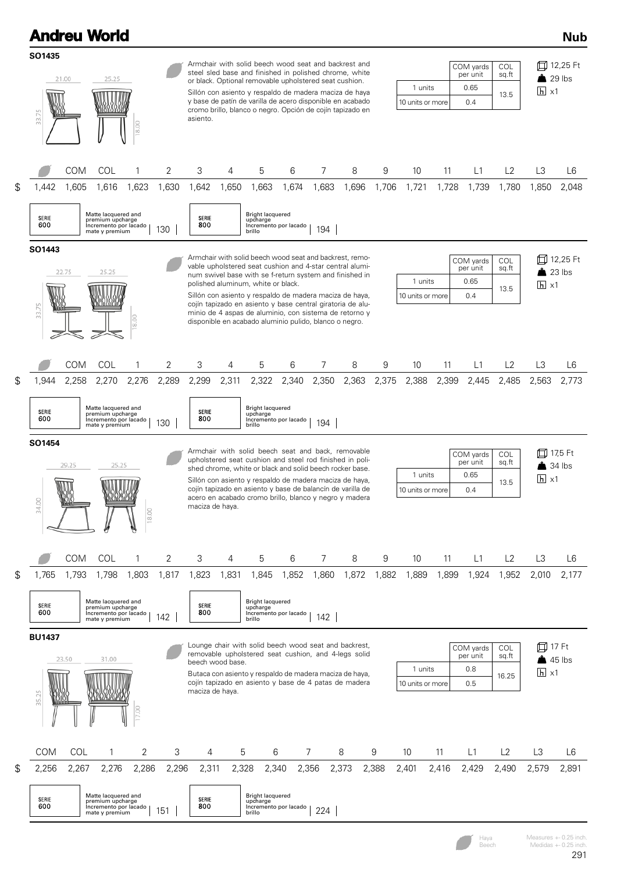|                        |                         | <b>Andreu World</b>                                                                |                         |       |                                     |                                                                                                                                                                                                                                                                                                                                                                                                                                                                                                                                                                         |                                               |                                                        |                |                                                                                                                                                                                                                                                                                                                                                               |       |                                                                                                    |       |                                      |                                                  |                                                       | <b>Nub</b>          |
|------------------------|-------------------------|------------------------------------------------------------------------------------|-------------------------|-------|-------------------------------------|-------------------------------------------------------------------------------------------------------------------------------------------------------------------------------------------------------------------------------------------------------------------------------------------------------------------------------------------------------------------------------------------------------------------------------------------------------------------------------------------------------------------------------------------------------------------------|-----------------------------------------------|--------------------------------------------------------|----------------|---------------------------------------------------------------------------------------------------------------------------------------------------------------------------------------------------------------------------------------------------------------------------------------------------------------------------------------------------------------|-------|----------------------------------------------------------------------------------------------------|-------|--------------------------------------|--------------------------------------------------|-------------------------------------------------------|---------------------|
| SO1435<br>33.75        | 21.00<br>25.25<br>18.00 |                                                                                    |                         |       | asiento.                            |                                                                                                                                                                                                                                                                                                                                                                                                                                                                                                                                                                         |                                               | or black. Optional removable upholstered seat cushion. |                | Armchair with solid beech wood seat and backrest and<br>steel sled base and finished in polished chrome, white<br>Sillón con asiento y respaldo de madera maciza de haya<br>y base de patín de varilla de acero disponible en acabado<br>cromo brillo, blanco o negro. Opción de cojín tapizado en                                                            |       | COM yards<br><b>COL</b><br>sq.ft<br>per unit<br>1 units<br>0.65<br>13.5<br>0.4<br>10 units or more |       |                                      |                                                  | 口 12,25 Ft<br>$\frac{1}{29}$ lbs<br>$\overline{h}$ x1 |                     |
|                        | <b>COM</b>              | COL                                                                                | 1                       | 2     | 3                                   | 4                                                                                                                                                                                                                                                                                                                                                                                                                                                                                                                                                                       | 5                                             | 6                                                      | 7              | 8                                                                                                                                                                                                                                                                                                                                                             | 9     | 10                                                                                                 | 11    | L1                                   | L2                                               | L3                                                    | L6                  |
| \$<br>1,442            | 1,605                   | 1,616                                                                              | 1,623                   | 1,630 | 1,642                               | 1,650                                                                                                                                                                                                                                                                                                                                                                                                                                                                                                                                                                   | 1,663                                         | 1,674                                                  | 1,683          | 1,696                                                                                                                                                                                                                                                                                                                                                         | 1,706 | 1,721                                                                                              | 1,728 | 1,739                                | 1,780                                            | 1,850                                                 | 2,048               |
| <b>SERIE</b><br>600    |                         | Matte lacquered and<br>premium upcharge<br>Incremento por lacado<br>mate y premium |                         | 130   | SERIE<br>800                        |                                                                                                                                                                                                                                                                                                                                                                                                                                                                                                                                                                         | <b>Bright lacquered</b><br>upcharge<br>brillo | Incremento por lacado                                  | 194            |                                                                                                                                                                                                                                                                                                                                                               |       |                                                                                                    |       |                                      |                                                  |                                                       |                     |
| SO1443<br>33.75        | 22.75                   | 25.25                                                                              | g<br>$\frac{\infty}{2}$ |       |                                     | Armchair with solid beech wood seat and backrest, remo-<br>COM yards<br><b>COL</b><br>vable upholstered seat cushion and 4-star central alumi-<br>sq.ft<br>per unit<br>num swivel base with se f-return system and finished in<br>1 units<br>0.65<br>polished aluminum, white or black.<br>13.5<br>Sillón con asiento y respaldo de madera maciza de haya,<br>0.4<br>10 units or more<br>cojín tapizado en asiento y base central giratoria de alu-<br>minio de 4 aspas de aluminio, con sistema de retorno y<br>disponible en acabado aluminio pulido, blanco o negro. |                                               |                                                        |                |                                                                                                                                                                                                                                                                                                                                                               |       |                                                                                                    |       |                                      | 口 12,25 Ft<br>$\triangle$ 23 lbs<br>$h \times 1$ |                                                       |                     |
|                        | <b>COM</b>              | COL                                                                                | 1                       | 2     | 3                                   | 4                                                                                                                                                                                                                                                                                                                                                                                                                                                                                                                                                                       | 5                                             | 6                                                      | 7              | 8                                                                                                                                                                                                                                                                                                                                                             | 9     | 10                                                                                                 | 11    | L1                                   | L2                                               | L3                                                    | L <sub>6</sub>      |
| \$<br>1,944            | 2,258                   | 2,270                                                                              | 2,276                   | 2,289 | 2,299                               | 2,311                                                                                                                                                                                                                                                                                                                                                                                                                                                                                                                                                                   | 2,322                                         | 2,340                                                  | 2,350          | 2,363                                                                                                                                                                                                                                                                                                                                                         | 2,375 | 2,388                                                                                              | 2,399 | 2,445                                | 2,485                                            | 2,563                                                 | 2,773               |
| <b>SERIE</b><br>600    |                         | Matte lacquered and<br>premium upcharge<br>Incremento por lacado<br>mate y premium |                         | 130   | SERIE<br>800                        |                                                                                                                                                                                                                                                                                                                                                                                                                                                                                                                                                                         | <b>Bright lacquered</b><br>upcharge<br>brillo | Incremento por lacado                                  | 194            |                                                                                                                                                                                                                                                                                                                                                               |       |                                                                                                    |       |                                      |                                                  |                                                       |                     |
| SO1454<br>34.00        | 29.25<br>WWW            | 25.25                                                                              | 11 M<br>18.00           |       | maciza de haya.                     |                                                                                                                                                                                                                                                                                                                                                                                                                                                                                                                                                                         |                                               |                                                        |                | Armchair with solid beech seat and back, removable<br>upholstered seat cushion and steel rod finished in poli-<br>shed chrome, white or black and solid beech rocker base.<br>Sillón con asiento y respaldo de madera maciza de haya,<br>cojín tapizado en asiento y base de balancín de varilla de<br>acero en acabado cromo brillo, blanco y negro y madera |       | 1 units<br>10 units or more                                                                        |       | COM yards<br>per unit<br>0.65<br>0.4 | COL<br>sq.ft<br>13.5                             | ◫<br>$\overline{h}$ x1                                | 17,5 Ft<br>$34$ lbs |
|                        | <b>COM</b>              | COL                                                                                | 1                       | 2     | 3                                   | 4                                                                                                                                                                                                                                                                                                                                                                                                                                                                                                                                                                       | 5                                             | 6                                                      | $\overline{7}$ | 8                                                                                                                                                                                                                                                                                                                                                             | 9     | 10                                                                                                 | 11    | L1                                   | L2                                               | L3                                                    | L6                  |
| \$<br>1,765            | 1,793                   | 1,798                                                                              | 1,803                   | 1,817 | 1,823                               | 1,831                                                                                                                                                                                                                                                                                                                                                                                                                                                                                                                                                                   | 1,845                                         | 1,852                                                  | 1,860          | 1,872                                                                                                                                                                                                                                                                                                                                                         | 1,882 | 1,889                                                                                              | 1,899 | 1,924                                | 1,952                                            | 2,010                                                 | 2,177               |
| <b>SERIE</b><br>600    |                         | Matte lacquered and<br>premium upcharge<br>Incremento por lacado<br>mate y premium |                         | 142   | SERIE<br>800                        |                                                                                                                                                                                                                                                                                                                                                                                                                                                                                                                                                                         | Bright lacquered<br>upcharge<br>brillo        | Incremento por lacado                                  | 142            |                                                                                                                                                                                                                                                                                                                                                               |       |                                                                                                    |       |                                      |                                                  |                                                       |                     |
| <b>BU1437</b><br>35.25 | 23.50                   | 31.00                                                                              |                         |       | beech wood base.<br>maciza de haya. |                                                                                                                                                                                                                                                                                                                                                                                                                                                                                                                                                                         |                                               |                                                        |                | Lounge chair with solid beech wood seat and backrest,<br>removable upholstered seat cushion, and 4-legs solid<br>Butaca con asiento y respaldo de madera maciza de haya,<br>cojín tapizado en asiento y base de 4 patas de madera                                                                                                                             |       | 1 units<br>10 units or more                                                                        |       | COM yards<br>per unit<br>0.8<br>0.5  | COL<br>sq.ft<br>16.25                            | 口 17 Ft<br>45 lbs<br>$\overline{h}$ x1                |                     |
| COM                    | COL                     | 1                                                                                  | 2                       | 3     | 4                                   |                                                                                                                                                                                                                                                                                                                                                                                                                                                                                                                                                                         | 5                                             | 6                                                      | 7              | 8                                                                                                                                                                                                                                                                                                                                                             | 9     | 10                                                                                                 | 11    | L1                                   | L2                                               | L3                                                    | L6                  |
| \$<br>2,256            | 2,267                   | 2,276                                                                              | 2,286                   | 2,296 | 2,311                               |                                                                                                                                                                                                                                                                                                                                                                                                                                                                                                                                                                         | 2,328                                         | 2,340                                                  | 2,356          | 2,373                                                                                                                                                                                                                                                                                                                                                         | 2,388 | 2,401                                                                                              | 2,416 | 2,429                                | 2,490                                            | 2,579                                                 | 2,891               |
| SERIE<br>600           |                         | Matte lacquered and<br>premium upcharge<br>Incremento por lacado<br>mate y premium |                         | 151   | SERIE<br>800                        |                                                                                                                                                                                                                                                                                                                                                                                                                                                                                                                                                                         | Bright lacquered<br>upcharge<br>brillo        | Incremento por lacado                                  | 224            |                                                                                                                                                                                                                                                                                                                                                               |       |                                                                                                    |       |                                      |                                                  |                                                       |                     |

Measures +- 0.25 inch. Medidas +- 0.25 inch. Haya Beech

291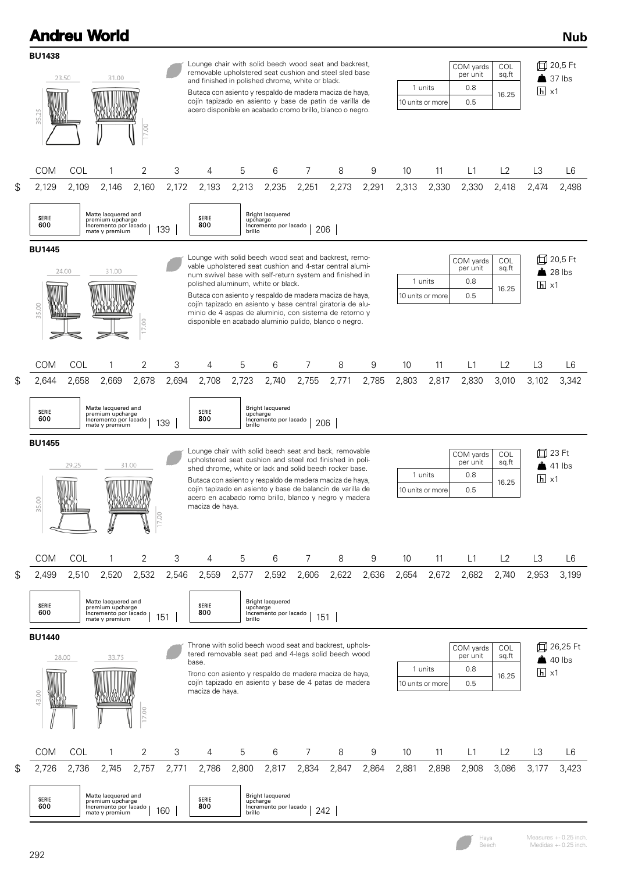|                                                                                                                                                                                                                                                                                                                                                         |                                                                                                                                                                                                                                                                                                                                                                                                                                                                                                                                            |              | <b>Andreu World</b>                                                                         |            |              |                                                                                                                                                                                                                                                                                                                                                                                    |                             |                                                           |              |            |                                     |                       |                                            |                                     |                                                              |                        | <b>Nub</b>                                 |  |
|---------------------------------------------------------------------------------------------------------------------------------------------------------------------------------------------------------------------------------------------------------------------------------------------------------------------------------------------------------|--------------------------------------------------------------------------------------------------------------------------------------------------------------------------------------------------------------------------------------------------------------------------------------------------------------------------------------------------------------------------------------------------------------------------------------------------------------------------------------------------------------------------------------------|--------------|---------------------------------------------------------------------------------------------|------------|--------------|------------------------------------------------------------------------------------------------------------------------------------------------------------------------------------------------------------------------------------------------------------------------------------------------------------------------------------------------------------------------------------|-----------------------------|-----------------------------------------------------------|--------------|------------|-------------------------------------|-----------------------|--------------------------------------------|-------------------------------------|--------------------------------------------------------------|------------------------|--------------------------------------------|--|
|                                                                                                                                                                                                                                                                                                                                                         | <b>BU1438</b><br>35.25                                                                                                                                                                                                                                                                                                                                                                                                                                                                                                                     | 23.50        | 31.00                                                                                       | 17.00      |              | Lounge chair with solid beech wood seat and backrest,<br>removable upholstered seat cushion and steel sled base<br>and finished in polished chrome, white or black.<br>Butaca con asiento y respaldo de madera maciza de haya,<br>cojín tapizado en asiento y base de patín de varilla de<br>acero disponible en acabado cromo brillo, blanco o negro.                             |                             |                                                           |              |            |                                     |                       | 1 units<br>10 units or more                |                                     | COM yards<br>COL<br>per unit<br>sq.ft<br>0.8<br>16.25<br>0.5 |                        | 口 20,5 Ft<br>$37$ lbs<br>$\overline{h}$ x1 |  |
| \$                                                                                                                                                                                                                                                                                                                                                      | <b>COM</b><br>2,129                                                                                                                                                                                                                                                                                                                                                                                                                                                                                                                        | COL<br>2,109 | 1<br>2,146                                                                                  | 2<br>2,160 | 3<br>2,172   | 4<br>2,193                                                                                                                                                                                                                                                                                                                                                                         | 5<br>2,213                  | 6<br>2,235                                                | 7<br>2,251   | 8<br>2,273 | 9<br>2,291                          | 10<br>2,313           | 11<br>2,330                                | L1<br>2,330                         | L2<br>2,418                                                  | L3<br>2,474            | L6<br>2,498                                |  |
|                                                                                                                                                                                                                                                                                                                                                         | <b>SERIE</b><br>600                                                                                                                                                                                                                                                                                                                                                                                                                                                                                                                        |              | Matte lacquered and<br>premium upcharge<br>Incremento por lacado<br>mate y premium          |            | 139          | <b>SERIE</b><br>800                                                                                                                                                                                                                                                                                                                                                                | upcharge<br>brillo          | <b>Bright lacquered</b><br>Incremento por lacado          | 206          |            |                                     |                       |                                            |                                     |                                                              |                        |                                            |  |
|                                                                                                                                                                                                                                                                                                                                                         | <b>BU1445</b><br>Lounge with solid beech wood seat and backrest, remo-<br>vable upholstered seat cushion and 4-star central alumi-<br>24.00<br>31.00<br>num swivel base with self-return system and finished in<br>1 units<br>polished aluminum, white or black.<br>Butaca con asiento y respaldo de madera maciza de haya,<br>10 units or more<br>cojín tapizado en asiento y base central giratoria de alu-<br>35.00<br>minio de 4 aspas de aluminio, con sistema de retorno y<br>disponible en acabado aluminio pulido, blanco o negro. |              |                                                                                             |            |              |                                                                                                                                                                                                                                                                                                                                                                                    |                             |                                                           |              |            | COM yards<br>per unit<br>0.8<br>0.5 | COL<br>sq.ft<br>16.25 | 口 20,5 Ft<br>$28$ lbs<br>$\overline{h}$ x1 |                                     |                                                              |                        |                                            |  |
|                                                                                                                                                                                                                                                                                                                                                         | <b>COM</b>                                                                                                                                                                                                                                                                                                                                                                                                                                                                                                                                 | COL          | 1                                                                                           | 2          | 3            | 4                                                                                                                                                                                                                                                                                                                                                                                  | 5                           | 6                                                         | 7            | 8          | 9                                   | 10                    | 11                                         | L1                                  | L2                                                           | L3                     | L6                                         |  |
| \$                                                                                                                                                                                                                                                                                                                                                      | 2,644<br>SERIE<br>600                                                                                                                                                                                                                                                                                                                                                                                                                                                                                                                      | 2,658        | 2,669<br>Matte lacquered and<br>premium upcharge<br>Incremento por lacado                   | 2,678      | 2,694<br>139 | 2,708<br>SERIE<br>800                                                                                                                                                                                                                                                                                                                                                              | 2,723<br>upcharge           | 2,740<br>Bright lacquered<br>Incremento por lacado        | 2,755<br>206 | 2,771      | 2,785                               | 2,803                 | 2,817                                      | 2,830                               | 3,010                                                        | 3,102                  | 3,342                                      |  |
|                                                                                                                                                                                                                                                                                                                                                         | <b>BU1455</b><br>35.00                                                                                                                                                                                                                                                                                                                                                                                                                                                                                                                     | 29.25        |                                                                                             | 31.00      |              | Lounge chair with solid beech seat and back, removable<br>upholstered seat cushion and steel rod finished in poli-<br>shed chrome, white or lack and solid beech rocker base.<br>Butaca con asiento y respaldo de madera maciza de haya,<br>cojín tapizado en asiento y base de balancín de varilla de<br>acero en acabado romo brillo, blanco y negro y madera<br>maciza de haya. |                             |                                                           |              |            |                                     |                       | 1 units<br>10 units or more                | COM yards<br>per unit<br>0.8<br>0.5 | COL<br>sq.ft<br>16.25                                        | 囗<br>$\overline{h}$ x1 | 23 Ft<br>$41$ lbs                          |  |
|                                                                                                                                                                                                                                                                                                                                                         | COM                                                                                                                                                                                                                                                                                                                                                                                                                                                                                                                                        | COL          | 1                                                                                           | 2          | 3            | 4                                                                                                                                                                                                                                                                                                                                                                                  | 5                           | 6                                                         | 7            | 8          | 9                                   | 10                    | 11                                         | L1                                  | L2                                                           | L <sub>3</sub>         | L <sub>6</sub>                             |  |
| 2,520<br>2,532<br>2,577<br>2,592<br>2,606<br>2,622<br>2,636<br>\$<br>2,499<br>2,510<br>2,546<br>2,559<br>2,654<br>2,672<br>2,682<br>2,740<br><b>Bright lacquered</b><br>Matte lacquered and<br>SERIE<br>SERIE<br>premium upcharge<br>upcharge<br>800<br>600<br>Incremento por lacado<br>Incremento por lacado<br>151<br>151<br>mate y premium<br>brillo |                                                                                                                                                                                                                                                                                                                                                                                                                                                                                                                                            |              |                                                                                             |            |              |                                                                                                                                                                                                                                                                                                                                                                                    |                             |                                                           | 2,953        | 3,199      |                                     |                       |                                            |                                     |                                                              |                        |                                            |  |
|                                                                                                                                                                                                                                                                                                                                                         | <b>BU1440</b><br>43.00                                                                                                                                                                                                                                                                                                                                                                                                                                                                                                                     | 28.00        | 33.75                                                                                       |            |              | Throne with solid beech wood seat and backrest, uphols-<br>tered removable seat pad and 4-legs solid beech wood<br>base.<br>Trono con asiento y respaldo de madera maciza de haya,<br>cojín tapizado en asiento y base de 4 patas de madera<br>maciza de haya.                                                                                                                     |                             |                                                           |              |            |                                     |                       | 1 units<br>10 units or more                | COM yards<br>per unit<br>0.8<br>0.5 | COL<br>sq.ft<br>16.25                                        | $\overline{h}$ x1      | 口 26,25 Ft<br>$40$ lbs                     |  |
|                                                                                                                                                                                                                                                                                                                                                         | COM                                                                                                                                                                                                                                                                                                                                                                                                                                                                                                                                        | COL          | 1                                                                                           | 2          | 3            | 4                                                                                                                                                                                                                                                                                                                                                                                  | 5                           | 6                                                         | 7            | 8          | 9                                   | 10                    | 11                                         | L1                                  | L2                                                           | L3                     | L6                                         |  |
| \$                                                                                                                                                                                                                                                                                                                                                      | 2,726<br>SERIE<br>600                                                                                                                                                                                                                                                                                                                                                                                                                                                                                                                      | 2,736        | 2,745<br>Matte lacquered and<br>premium upcharge<br>Incremento por lacado<br>mate y premium | 2,757      | 2,771<br>160 | 2,786<br>SERIE<br>800                                                                                                                                                                                                                                                                                                                                                              | 2,800<br>upcharge<br>brillo | 2,817<br><b>Bright lacquered</b><br>Incremento por lacado | 2,834<br>242 | 2,847      | 2,864                               | 2,881                 | 2,898                                      | 2,908                               | 3,086                                                        | 3,177                  | 3,423                                      |  |

292

Haya Beech

Measures +- 0.25 inch. Medidas +- 0.25 inch.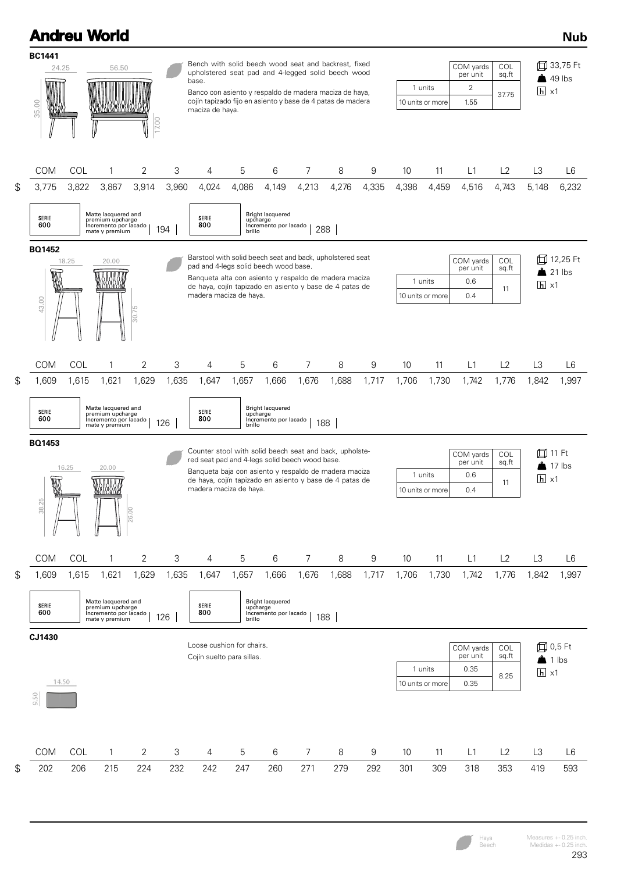|                                    |                                                                                                                                                                                                                                                                                                | <b>Andreu World</b>                                                                         |       |              |                                                                                                                                                                                                                                                                |                             |                                                           |       |              |       |       |                             |                                                 |                       |                                             | <b>Nub</b>                       |
|------------------------------------|------------------------------------------------------------------------------------------------------------------------------------------------------------------------------------------------------------------------------------------------------------------------------------------------|---------------------------------------------------------------------------------------------|-------|--------------|----------------------------------------------------------------------------------------------------------------------------------------------------------------------------------------------------------------------------------------------------------------|-----------------------------|-----------------------------------------------------------|-------|--------------|-------|-------|-----------------------------|-------------------------------------------------|-----------------------|---------------------------------------------|----------------------------------|
| <b>BC1441</b><br>24.25<br>35.00    |                                                                                                                                                                                                                                                                                                | 56.50                                                                                       | 7.00  |              | Bench with solid beech wood seat and backrest, fixed<br>upholstered seat pad and 4-legged solid beech wood<br>base.<br>Banco con asiento y respaldo de madera maciza de haya,<br>cojín tapizado fijo en asiento y base de 4 patas de madera<br>maciza de haya. |                             |                                                           |       |              |       |       | 1 units<br>10 units or more | COM yards<br>per unit<br>$\overline{2}$<br>1.55 | COL<br>sq.ft<br>37.75 | $\overline{h}$ x1                           | 口 33,75 Ft<br>$\triangle$ 49 lbs |
| COM                                | COL                                                                                                                                                                                                                                                                                            | 1                                                                                           | 2     | 3            | 4                                                                                                                                                                                                                                                              | 5                           | 6                                                         | 7     | 8            | 9     | 10    | 11                          | L1                                              | L2                    | L <sub>3</sub>                              | L6                               |
| \$<br>3,775<br><b>SERIE</b><br>600 | 3,822                                                                                                                                                                                                                                                                                          | 3,867<br>Matte lacquered and<br>premium upcharge<br>Incremento por lacado<br>mate y premium | 3,914 | 3,960<br>194 | 4,024<br>SERIE<br>800                                                                                                                                                                                                                                          | 4,086<br>upcharge<br>brillo | 4,149<br>Bright lacquered<br>Incremento por lacado        | 4,213 | 4,276<br>288 | 4,335 | 4,398 | 4,459                       | 4,516                                           | 4,743                 | 5,148                                       | 6,232                            |
| <b>BQ1452</b><br>W<br>43.00        | Barstool with solid beech seat and back, upholstered seat<br>20.00<br>18.25<br>pad and 4-legs solid beech wood base.<br>Banqueta alta con asiento y respaldo de madera maciza<br>5316317<br>de haya, cojín tapizado en asiento y base de 4 patas de<br>madera maciza de haya.<br>Ļ0<br>$-30.7$ |                                                                                             |       |              |                                                                                                                                                                                                                                                                |                             |                                                           |       |              |       |       | 1 units<br>10 units or more | COM yards<br>per unit<br>0.6<br>0.4             | COL<br>sq.ft<br>11    | fd 12,25 Ft<br>21 lbs<br>$h \times 1$       |                                  |
| COM                                | COL                                                                                                                                                                                                                                                                                            | $\mathbf{1}$                                                                                | 2     | 3            | 4                                                                                                                                                                                                                                                              | 5                           | 6                                                         | 7     | 8            | 9     | 10    | 11                          | L1                                              | L2                    | L <sub>3</sub>                              | L <sub>6</sub>                   |
| \$<br>1,609<br>SERIE<br>600        | 1,615                                                                                                                                                                                                                                                                                          | 1,621<br>Matte lacquered and<br>premium upcharge<br>Incremento por lacado<br>mate y premium | 1,629 | 1,635<br>126 | 1,647<br>SERIE<br>800                                                                                                                                                                                                                                          | 1,657<br>upcharge<br>brillo | 1,666<br><b>Bright lacquered</b><br>Incremento por lacado | 1,676 | 1,688<br>188 | 1,717 | 1,706 | 1,730                       | 1,742                                           | 1,776                 | 1,842                                       | 1,997                            |
| <b>BQ1453</b><br>W<br>38.25        | 16.25                                                                                                                                                                                                                                                                                          | 20.00<br>NSISISM<br><u>wojionow</u>                                                         | 26.00 |              | Counter stool with solid beech seat and back, upholste-<br>red seat pad and 4-legs solid beech wood base.<br>Banqueta baja con asiento y respaldo de madera maciza<br>de haya, cojín tapizado en asiento y base de 4 patas de<br>madera maciza de haya.        |                             |                                                           |       |              |       |       | 1 units<br>10 units or more | COM yards<br>per unit<br>0.6<br>0.4             | COL<br>sq.ft<br>11    | İΠ<br>$\overline{h}$ x1                     | 11 Ft<br>17 lbs                  |
| COM                                | COL                                                                                                                                                                                                                                                                                            | $\mathbf{1}$                                                                                | 2     | 3            | 4                                                                                                                                                                                                                                                              | 5                           | 6                                                         | 7     | 8            | 9     | 10    | 11                          | L1                                              | L2                    | L3                                          | L <sub>6</sub>                   |
| \$<br>1,609<br>SERIE<br>600        | 1,615                                                                                                                                                                                                                                                                                          | 1,621<br>Matte lacquered and<br>premium upcharge<br>Incremento por lacado<br>mate y premium | 1,629 | 1,635<br>126 | 1,647<br>SERIE<br>800                                                                                                                                                                                                                                          | 1,657<br>upcharge<br>brillo | 1,666<br><b>Bright lacquered</b><br>Incremento por lacado | 1,676 | 1,688<br>188 | 1,717 | 1,706 | 1,730                       | 1,742                                           | 1,776                 | 1,842                                       | 1,997                            |
| CJ1430<br>14.50<br>SO,<br>o,       |                                                                                                                                                                                                                                                                                                |                                                                                             |       |              | Loose cushion for chairs.<br>Cojín suelto para sillas.                                                                                                                                                                                                         |                             |                                                           |       |              |       |       | 1 units<br>10 units or more | COM yards<br>per unit<br>0.35<br>0.35           | COL<br>sq.ft<br>8.25  | 口 0,5 Ft<br>$\bullet$ 1 lbs<br>$h \times 1$ |                                  |
| COM                                | <b>COL</b>                                                                                                                                                                                                                                                                                     | $\mathbf{1}$                                                                                | 2     | 3            | 4                                                                                                                                                                                                                                                              | 5                           | 6                                                         | 7     | 8            | 9     | 10    | 11                          | L1                                              | L2                    | L3                                          | L6                               |
| \$<br>202                          | 206                                                                                                                                                                                                                                                                                            | 215                                                                                         | 224   | 232          | 242                                                                                                                                                                                                                                                            | 247                         | 260                                                       | 271   | 279          | 292   | 301   | 309                         | 318                                             | 353                   | 419                                         | 593                              |

Haya Beech

Measures +- 0.25 inch. Medidas +- 0.25 inch.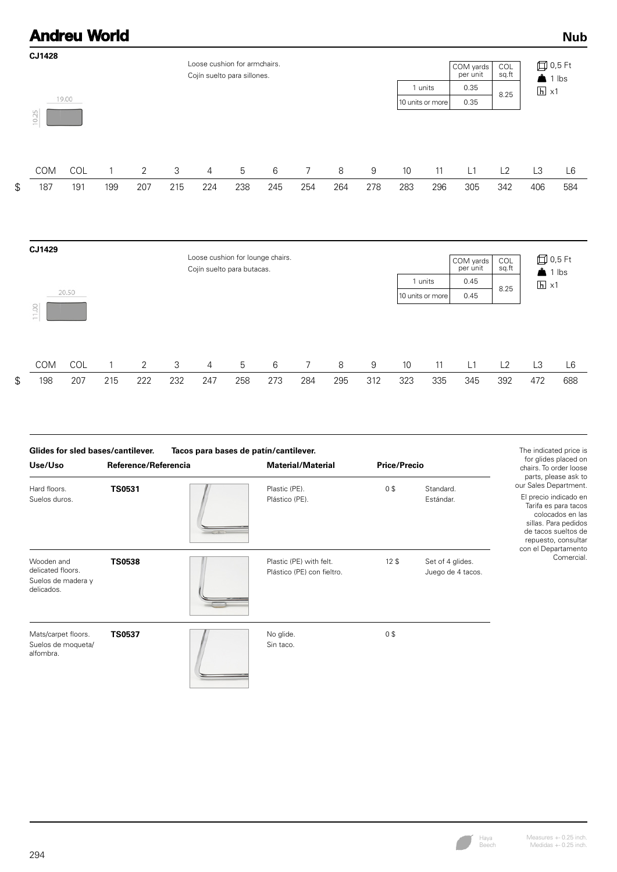#### **Andreu World Nub CJ1428** Loose cushion for armchairs. 0,5 Ft COM yards per unit COL sq.ft Cojín suelto para sillones.  $\triangle$  1 lbs 1 units 0.35 8.25  $\Box$  X1 19.00 10 units or more 0.35 10.25 COM COL 1 2 3 4 5 6 7 8 9 10 11 L1 L2 L3 L6 \$ 187 191 199 207 215 224 238 245 254 264 278 283 296 305 342 406 584

| CJ1429                          |       |     |     |     | Loose cushion for lounge chairs.<br>Cojín suelto para butacas. |     |     | 1 units | COM yards<br>per unit<br>0.45 | COL<br>sq.ft | <b>□ 0,5 Ft</b><br>$\triangle$ 1 lbs<br>$\overline{h}$ x1 |     |      |      |     |                |
|---------------------------------|-------|-----|-----|-----|----------------------------------------------------------------|-----|-----|---------|-------------------------------|--------------|-----------------------------------------------------------|-----|------|------|-----|----------------|
| OO.<br>$\overline{ }$<br>$\sim$ | 20.50 |     |     |     |                                                                |     |     |         |                               |              | 10 units or more                                          |     | 0.45 | 8.25 |     |                |
| <b>COM</b>                      | COL   |     | 2   | 3   | 4                                                              | 5   | 6   | 7       | 8                             | 9            | 10                                                        | 11  | L1   | L2   | L3  | L <sub>6</sub> |
| \$<br>198                       | 207   | 215 | 222 | 232 | 247                                                            | 258 | 273 | 284     | 295                           | 312          | 323                                                       | 335 | 345  | 392  | 472 | 688            |

| <b>Glides for sled bases/cantilever.</b><br>Use/Uso                 | Reference/Referencia | Tacos para bases de patín/cantilever.<br><b>Material/Material</b> | <b>Price/Precio</b> |                                       | The indicated price is<br>for glides placed on<br>chairs. To order loose<br>parts, please ask to                                                                                        |
|---------------------------------------------------------------------|----------------------|-------------------------------------------------------------------|---------------------|---------------------------------------|-----------------------------------------------------------------------------------------------------------------------------------------------------------------------------------------|
| Hard floors.<br>Suelos duros.                                       | <b>TS0531</b>        | Plastic (PE).<br>Plástico (PE).                                   | 0\$                 | Standard.<br>Estándar.                | our Sales Department.<br>El precio indicado en<br>Tarifa es para tacos<br>colocados en las<br>sillas. Para pedidos<br>de tacos sueltos de<br>repuesto, consultar<br>con el Departamento |
| Wooden and<br>delicated floors.<br>Suelos de madera y<br>delicados. | <b>TS0538</b>        | Plastic (PE) with felt.<br>Plástico (PE) con fieltro.             | 12 <sup>5</sup>     | Set of 4 glides.<br>Juego de 4 tacos. | Comercial.                                                                                                                                                                              |
| Mats/carpet floors.<br>Suelos de moqueta/<br>alfombra.              | <b>TS0537</b>        | No glide.<br>Sin taco.                                            | 0\$                 |                                       |                                                                                                                                                                                         |

Haya Beech